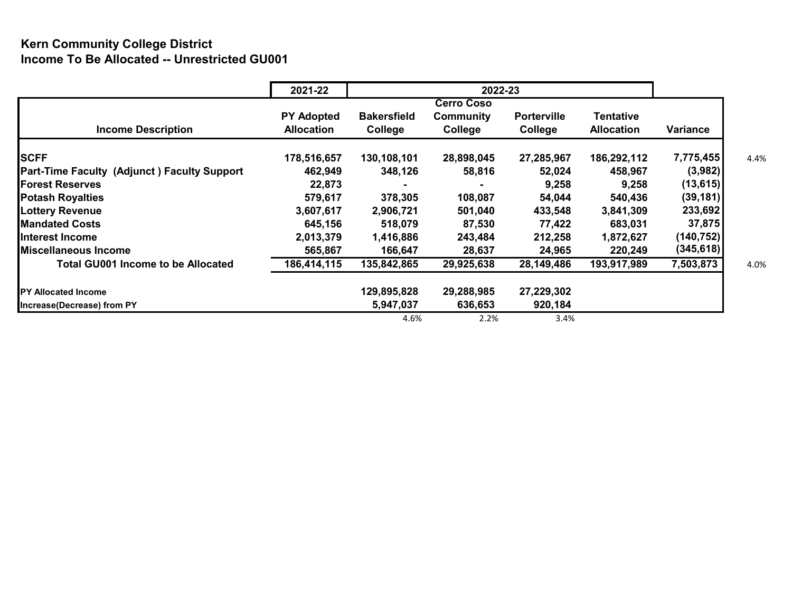## **Kern Community College District Income To Be Allocated -- Unrestricted GU001**

|                                                    | 2021-22           | 2022-23            |            |                    |                   |            |  |  |  |
|----------------------------------------------------|-------------------|--------------------|------------|--------------------|-------------------|------------|--|--|--|
|                                                    |                   |                    |            |                    |                   |            |  |  |  |
|                                                    | <b>PY Adopted</b> | <b>Bakersfield</b> | Community  | <b>Porterville</b> | Tentative         |            |  |  |  |
| <b>Income Description</b>                          | <b>Allocation</b> | College            | College    | College            | <b>Allocation</b> | Variance   |  |  |  |
| <b>SCFF</b>                                        | 178,516,657       | 130,108,101        | 28,898,045 | 27,285,967         | 186,292,112       | 7,775,455  |  |  |  |
| <b>Part-Time Faculty (Adjunct) Faculty Support</b> | 462,949           | 348,126            | 58,816     | 52,024             | 458,967           | (3,982)    |  |  |  |
| <b>Forest Reserves</b>                             | 22,873            |                    |            | 9,258              | 9,258             | (13, 615)  |  |  |  |
| <b>Potash Royalties</b>                            | 579,617           | 378,305            | 108,087    | 54,044             | 540,436           | (39, 181)  |  |  |  |
| <b>Lottery Revenue</b>                             | 3,607,617         | 2,906,721          | 501,040    | 433,548            | 3,841,309         | 233,692    |  |  |  |
| <b>Mandated Costs</b>                              | 645,156           | 518,079            | 87,530     | 77,422             | 683,031           | 37,875     |  |  |  |
| IInterest Income                                   | 2,013,379         | 1,416,886          | 243,484    | 212,258            | 1,872,627         | (140,752)  |  |  |  |
| <b>IMiscellaneous Income</b>                       | 565,867           | 166,647            | 28,637     | 24,965             | 220,249           | (345, 618) |  |  |  |
| <b>Total GU001 Income to be Allocated</b>          | 186,414,115       | 135,842,865        | 29,925,638 | 28,149,486         | 193,917,989       | 7,503,873  |  |  |  |
| <b>IPY Allocated Income</b>                        |                   | 129,895,828        | 29,288,985 | 27,229,302         |                   |            |  |  |  |
| Increase (Decrease) from PY                        |                   | 5,947,037          | 636,653    | 920,184            |                   |            |  |  |  |
|                                                    |                   | 4.6%               | 2.2%       | 3.4%               |                   |            |  |  |  |